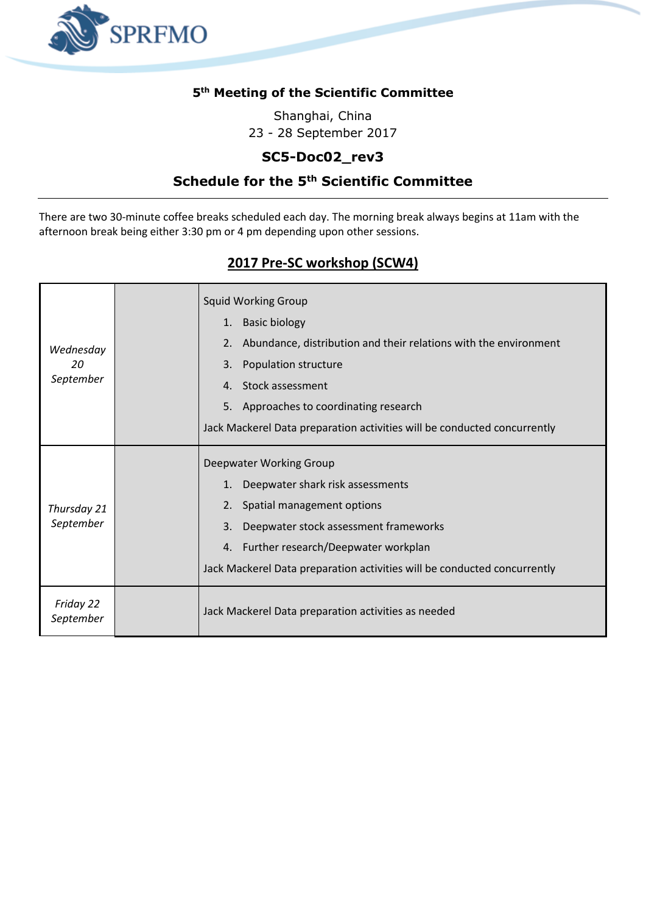

#### **5 th Meeting of the Scientific Committee**

Shanghai, China 23 - 28 September 2017

## **SC5-Doc02\_rev3**

### **Schedule for the 5th Scientific Committee**

There are two 30-minute coffee breaks scheduled each day. The morning break always begins at 11am with the afternoon break being either 3:30 pm or 4 pm depending upon other sessions.

## **2017 Pre-SC workshop (SCW4)**

| Wednesday<br>20<br>September | <b>Squid Working Group</b><br><b>Basic biology</b><br>1.<br>Abundance, distribution and their relations with the environment<br>2.<br>Population structure<br>3.<br>Stock assessment<br>4 <sup>1</sup><br>5. Approaches to coordinating research<br>Jack Mackerel Data preparation activities will be conducted concurrently |
|------------------------------|------------------------------------------------------------------------------------------------------------------------------------------------------------------------------------------------------------------------------------------------------------------------------------------------------------------------------|
| Thursday 21<br>September     | Deepwater Working Group<br>Deepwater shark risk assessments<br>1.<br>Spatial management options<br>2.<br>Deepwater stock assessment frameworks<br>3.<br>4. Further research/Deepwater workplan<br>Jack Mackerel Data preparation activities will be conducted concurrently                                                   |
| Friday 22<br>September       | Jack Mackerel Data preparation activities as needed                                                                                                                                                                                                                                                                          |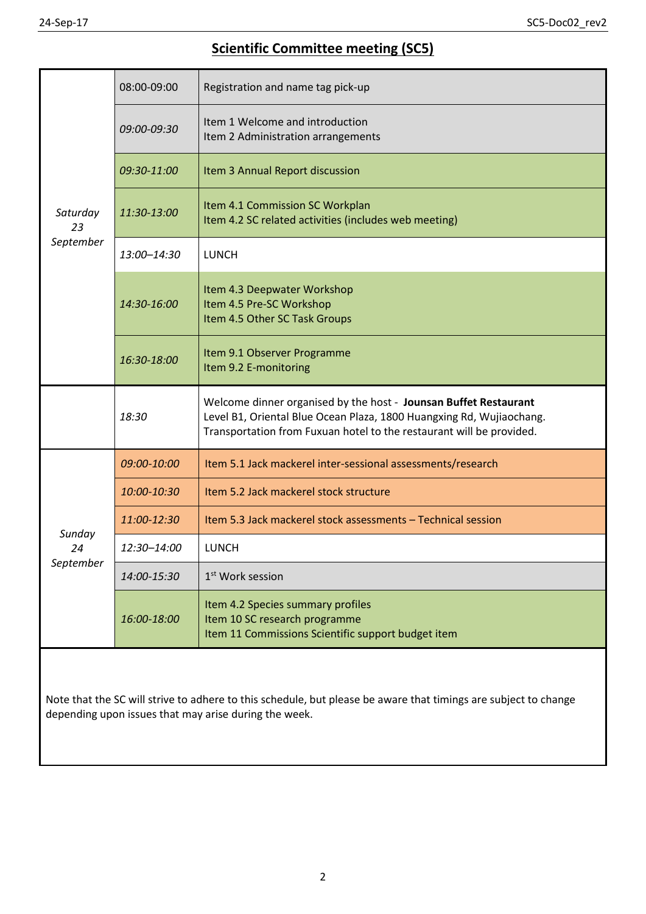# **Scientific Committee meeting (SC5)**

| Saturday<br>23<br>September | 08:00-09:00 | Registration and name tag pick-up                                                                                                                                                                                |
|-----------------------------|-------------|------------------------------------------------------------------------------------------------------------------------------------------------------------------------------------------------------------------|
|                             | 09:00-09:30 | Item 1 Welcome and introduction<br>Item 2 Administration arrangements                                                                                                                                            |
|                             | 09:30-11:00 | Item 3 Annual Report discussion                                                                                                                                                                                  |
|                             | 11:30-13:00 | Item 4.1 Commission SC Workplan<br>Item 4.2 SC related activities (includes web meeting)                                                                                                                         |
|                             | 13:00-14:30 | <b>LUNCH</b>                                                                                                                                                                                                     |
|                             | 14:30-16:00 | Item 4.3 Deepwater Workshop<br>Item 4.5 Pre-SC Workshop<br>Item 4.5 Other SC Task Groups                                                                                                                         |
|                             | 16:30-18:00 | Item 9.1 Observer Programme<br>Item 9.2 E-monitoring                                                                                                                                                             |
|                             | 18:30       | Welcome dinner organised by the host - Jounsan Buffet Restaurant<br>Level B1, Oriental Blue Ocean Plaza, 1800 Huangxing Rd, Wujiaochang.<br>Transportation from Fuxuan hotel to the restaurant will be provided. |
|                             |             |                                                                                                                                                                                                                  |
|                             | 09:00-10:00 | Item 5.1 Jack mackerel inter-sessional assessments/research                                                                                                                                                      |
|                             | 10:00-10:30 | Item 5.2 Jack mackerel stock structure                                                                                                                                                                           |
|                             | 11:00-12:30 | Item 5.3 Jack mackerel stock assessments - Technical session                                                                                                                                                     |
| Sunday<br>24                | 12:30-14:00 | <b>LUNCH</b>                                                                                                                                                                                                     |
| September                   | 14:00-15:30 | 1 <sup>st</sup> Work session                                                                                                                                                                                     |
|                             | 16:00-18:00 | Item 4.2 Species summary profiles<br>Item 10 SC research programme<br>Item 11 Commissions Scientific support budget item                                                                                         |

Note that the SC will strive to adhere to this schedule, but please be aware that timings are subject to change depending upon issues that may arise during the week.